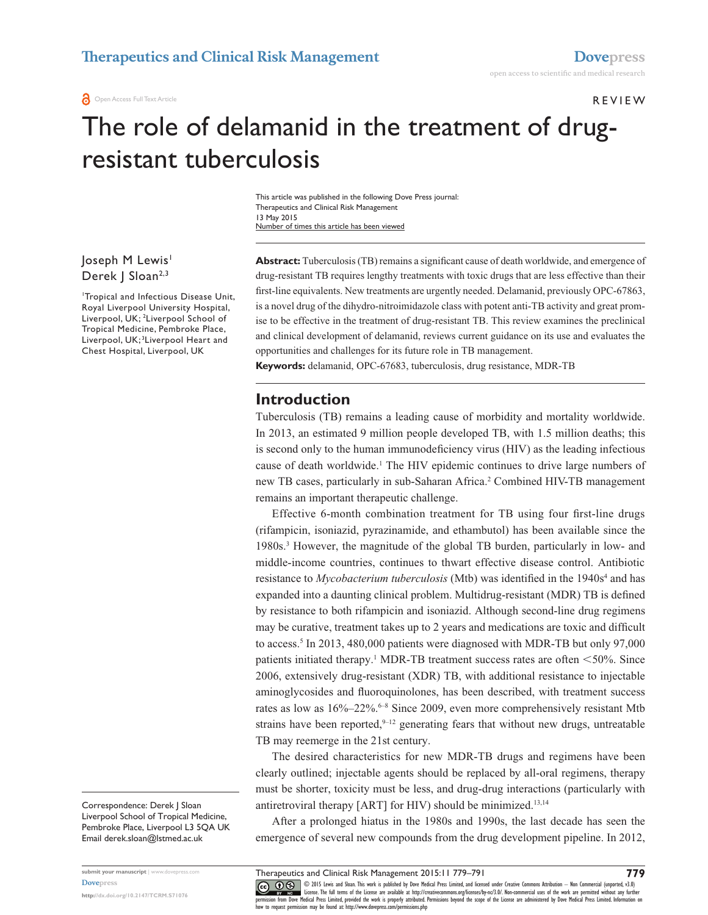#### Review

# The role of delamanid in the treatment of drugresistant tuberculosis

This article was published in the following Dove Press journal: Therapeutics and Clinical Risk Management 13 May 2015 Number of times this article has been viewed

Joseph M Lewis<sup>1</sup> Derek | Sloan<sup>2,3</sup>

1 Tropical and Infectious Disease Unit, Royal Liverpool University Hospital, Liverpool, UK; 2 Liverpool School of Tropical Medicine, Pembroke Place, Liverpool, UK; 3Liverpool Heart and Chest Hospital, Liverpool, UK

**Abstract:** Tuberculosis (TB) remains a significant cause of death worldwide, and emergence of drug-resistant TB requires lengthy treatments with toxic drugs that are less effective than their first-line equivalents. New treatments are urgently needed. Delamanid, previously OPC-67863, is a novel drug of the dihydro-nitroimidazole class with potent anti-TB activity and great promise to be effective in the treatment of drug-resistant TB. This review examines the preclinical and clinical development of delamanid, reviews current guidance on its use and evaluates the opportunities and challenges for its future role in TB management.

**Keywords:** delamanid, OPC-67683, tuberculosis, drug resistance, MDR-TB

#### **Introduction**

Tuberculosis (TB) remains a leading cause of morbidity and mortality worldwide. In 2013, an estimated 9 million people developed TB, with 1.5 million deaths; this is second only to the human immunodeficiency virus (HIV) as the leading infectious cause of death worldwide.<sup>1</sup> The HIV epidemic continues to drive large numbers of new TB cases, particularly in sub-Saharan Africa.<sup>2</sup> Combined HIV-TB management remains an important therapeutic challenge.

Effective 6-month combination treatment for TB using four first-line drugs (rifampicin, isoniazid, pyrazinamide, and ethambutol) has been available since the 1980s.3 However, the magnitude of the global TB burden, particularly in low- and middle-income countries, continues to thwart effective disease control. Antibiotic resistance to *Mycobacterium tuberculosis* (Mtb) was identified in the 1940s<sup>4</sup> and has expanded into a daunting clinical problem. Multidrug-resistant (MDR) TB is defined by resistance to both rifampicin and isoniazid. Although second-line drug regimens may be curative, treatment takes up to 2 years and medications are toxic and difficult to access.<sup>5</sup> In 2013, 480,000 patients were diagnosed with MDR-TB but only 97,000 patients initiated therapy.<sup>1</sup> MDR-TB treatment success rates are often  $<$  50%. Since 2006, extensively drug-resistant (XDR) TB, with additional resistance to injectable aminoglycosides and fluoroquinolones, has been described, with treatment success rates as low as 16%–22%.<sup>6-8</sup> Since 2009, even more comprehensively resistant Mtb strains have been reported, $9-12$  generating fears that without new drugs, untreatable TB may reemerge in the 21st century.

The desired characteristics for new MDR-TB drugs and regimens have been clearly outlined; injectable agents should be replaced by all-oral regimens, therapy must be shorter, toxicity must be less, and drug-drug interactions (particularly with antiretroviral therapy [ART] for HIV) should be minimized.<sup>13,14</sup>

After a prolonged hiatus in the 1980s and 1990s, the last decade has seen the emergence of several new compounds from the drug development pipeline. In 2012,

**<http://dx.doi.org/10.2147/TCRM.S71076>**

CO ODIS Lewis and Sloan. This work is published by Dove Medical Press Limited, and licensed under Creative Commons Attribution - Non Commercial (unported, v3.0)<br> [permission from Dove M](http://www.dovepress.com/permissions.php)edical Press Limited, provided the wor how to request permission may be found at:<http://www.dovepress.com/permissions.php>

Correspondence: Derek J Sloan Liverpool School of Tropical Medicine, Pembroke Place, Liverpool L3 5QA UK Email [derek.sloan@lstmed.ac.uk](mailto:derek.sloan@lstmed.ac.uk)

Therapeutics and Clinical Risk Management 2015:11 779–791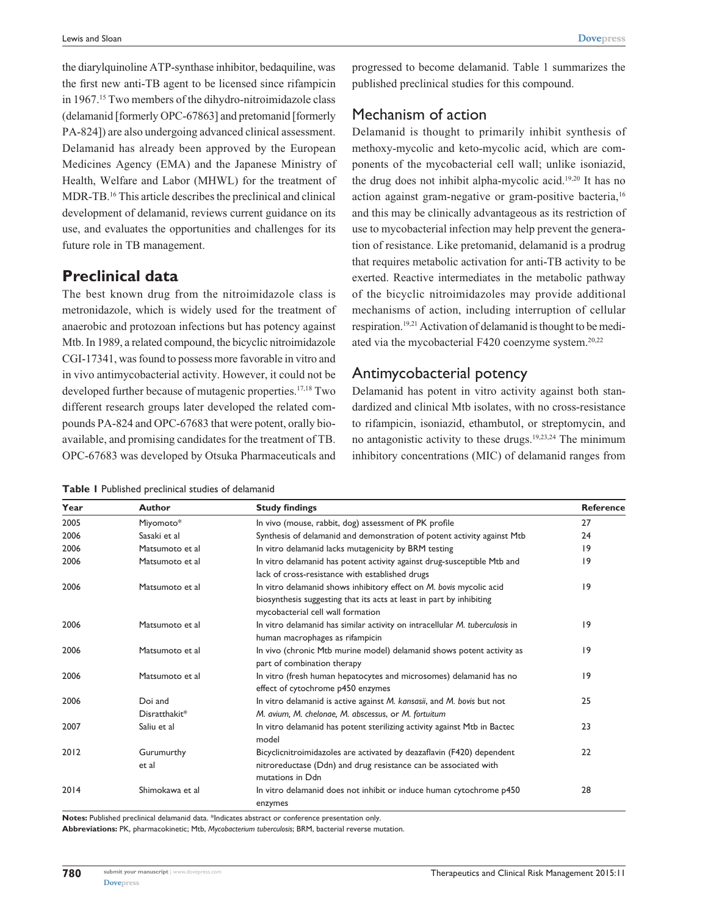the diarylquinoline ATP-synthase inhibitor, bedaquiline, was the first new anti-TB agent to be licensed since rifampicin in 1967.15 Two members of the dihydro-nitroimidazole class (delamanid [formerly OPC-67863] and pretomanid [formerly PA-824]) are also undergoing advanced clinical assessment. Delamanid has already been approved by the European Medicines Agency (EMA) and the Japanese Ministry of Health, Welfare and Labor (MHWL) for the treatment of MDR-TB.16 This article describes the preclinical and clinical development of delamanid, reviews current guidance on its use, and evaluates the opportunities and challenges for its future role in TB management.

## **Preclinical data**

The best known drug from the nitroimidazole class is metronidazole, which is widely used for the treatment of anaerobic and protozoan infections but has potency against Mtb. In 1989, a related compound, the bicyclic nitroimidazole CGI-17341, was found to possess more favorable in vitro and in vivo antimycobacterial activity. However, it could not be developed further because of mutagenic properties.17,18 Two different research groups later developed the related compounds PA-824 and OPC-67683 that were potent, orally bioavailable, and promising candidates for the treatment of TB. OPC-67683 was developed by Otsuka Pharmaceuticals and

**Table 1** Published preclinical studies of delamanid

progressed to become delamanid. Table 1 summarizes the published preclinical studies for this compound.

#### Mechanism of action

Delamanid is thought to primarily inhibit synthesis of methoxy-mycolic and keto-mycolic acid, which are components of the mycobacterial cell wall; unlike isoniazid, the drug does not inhibit alpha-mycolic acid.19,20 It has no action against gram-negative or gram-positive bacteria,<sup>16</sup> and this may be clinically advantageous as its restriction of use to mycobacterial infection may help prevent the generation of resistance. Like pretomanid, delamanid is a prodrug that requires metabolic activation for anti-TB activity to be exerted. Reactive intermediates in the metabolic pathway of the bicyclic nitroimidazoles may provide additional mechanisms of action, including interruption of cellular respiration.19,21 Activation of delamanid is thought to be mediated via the mycobacterial F420 coenzyme system.<sup>20,22</sup>

#### Antimycobacterial potency

Delamanid has potent in vitro activity against both standardized and clinical Mtb isolates, with no cross-resistance to rifampicin, isoniazid, ethambutol, or streptomycin, and no antagonistic activity to these drugs.19,23,24 The minimum inhibitory concentrations (MIC) of delamanid ranges from

| Year | <b>Author</b>            | <b>Study findings</b>                                                                                                                                                            | <b>Reference</b> |
|------|--------------------------|----------------------------------------------------------------------------------------------------------------------------------------------------------------------------------|------------------|
| 2005 | Miyomoto*                | In vivo (mouse, rabbit, dog) assessment of PK profile                                                                                                                            | 27               |
| 2006 | Sasaki et al             | Synthesis of delamanid and demonstration of potent activity against Mtb                                                                                                          | 24               |
| 2006 | Matsumoto et al          | In vitro delamanid lacks mutagenicity by BRM testing                                                                                                                             | 19               |
| 2006 | Matsumoto et al          | In vitro delamanid has potent activity against drug-susceptible Mtb and<br>lack of cross-resistance with established drugs                                                       | $ 9\rangle$      |
| 2006 | Matsumoto et al          | In vitro delamanid shows inhibitory effect on M. bovis mycolic acid<br>biosynthesis suggesting that its acts at least in part by inhibiting<br>mycobacterial cell wall formation | 9                |
| 2006 | Matsumoto et al          | In vitro delamanid has similar activity on intracellular M. tuberculosis in<br>human macrophages as rifampicin                                                                   | 9                |
| 2006 | Matsumoto et al          | In vivo (chronic Mtb murine model) delamanid shows potent activity as<br>part of combination therapy                                                                             | 9                |
| 2006 | Matsumoto et al          | In vitro (fresh human hepatocytes and microsomes) delamanid has no<br>effect of cytochrome p450 enzymes                                                                          | 9                |
| 2006 | Doi and<br>Disratthakit* | In vitro delamanid is active against M. kansasii, and M. bovis but not<br>M. avium, M. chelonae, M. abscessus, or M. fortuitum                                                   | 25               |
| 2007 | Saliu et al              | In vitro delamanid has potent sterilizing activity against Mtb in Bactec<br>model                                                                                                | 23               |
| 2012 | Gurumurthy<br>et al      | Bicyclicnitroimidazoles are activated by deazaflavin (F420) dependent<br>nitroreductase (Ddn) and drug resistance can be associated with<br>mutations in Ddn                     | 22               |
| 2014 | Shimokawa et al          | In vitro delamanid does not inhibit or induce human cytochrome p450<br>enzymes                                                                                                   | 28               |

Notes: Published preclinical delamanid data. \*Indicates abstract or conference presentation only.

**Abbreviations:** PK, pharmacokinetic; Mtb, *Mycobacterium tuberculosis*; BRM, bacterial reverse mutation.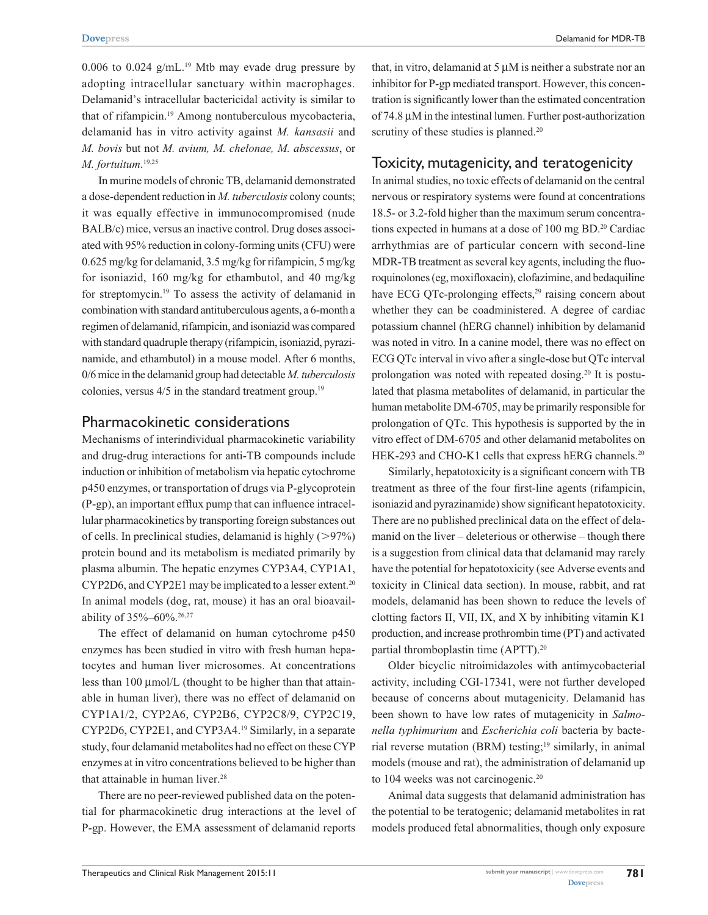0.006 to 0.024  $g/mL$ <sup>19</sup> Mtb may evade drug pressure by adopting intracellular sanctuary within macrophages. Delamanid's intracellular bactericidal activity is similar to that of rifampicin.19 Among nontuberculous mycobacteria, delamanid has in vitro activity against *M. kansasii* and *M. bovis* but not *M. avium, M. chelonae, M. abscessus*, or *M. fortuitum*. 19,25

In murine models of chronic TB, delamanid demonstrated a dose-dependent reduction in *M. tuberculosis* colony counts; it was equally effective in immunocompromised (nude BALB/c) mice, versus an inactive control. Drug doses associated with 95% reduction in colony-forming units (CFU) were 0.625 mg/kg for delamanid, 3.5 mg/kg for rifampicin, 5 mg/kg for isoniazid, 160 mg/kg for ethambutol, and 40 mg/kg for streptomycin.19 To assess the activity of delamanid in combination with standard antituberculous agents, a 6-month a regimen of delamanid, rifampicin, and isoniazid was compared with standard quadruple therapy (rifampicin, isoniazid, pyrazinamide, and ethambutol) in a mouse model. After 6 months, 0/6 mice in the delamanid group had detectable *M. tuberculosis*  colonies, versus  $4/5$  in the standard treatment group.<sup>19</sup>

#### Pharmacokinetic considerations

Mechanisms of interindividual pharmacokinetic variability and drug-drug interactions for anti-TB compounds include induction or inhibition of metabolism via hepatic cytochrome p450 enzymes, or transportation of drugs via P-glycoprotein (P-gp), an important efflux pump that can influence intracellular pharmacokinetics by transporting foreign substances out of cells. In preclinical studies, delamanid is highly  $(>97%)$ protein bound and its metabolism is mediated primarily by plasma albumin. The hepatic enzymes CYP3A4, CYP1A1, CYP2D6, and CYP2E1 may be implicated to a lesser extent.20 In animal models (dog, rat, mouse) it has an oral bioavailability of 35%–60%.<sup>26,27</sup>

The effect of delamanid on human cytochrome p450 enzymes has been studied in vitro with fresh human hepatocytes and human liver microsomes. At concentrations less than 100 μmol/L (thought to be higher than that attainable in human liver), there was no effect of delamanid on CYP1A1/2, CYP2A6, CYP2B6, CYP2C8/9, CYP2C19, CYP2D6, CYP2E1, and CYP3A4.19 Similarly, in a separate study, four delamanid metabolites had no effect on these CYP enzymes at in vitro concentrations believed to be higher than that attainable in human liver.<sup>28</sup>

There are no peer-reviewed published data on the potential for pharmacokinetic drug interactions at the level of P-gp. However, the EMA assessment of delamanid reports

that, in vitro, delamanid at 5 μM is neither a substrate nor an inhibitor for P-gp mediated transport. However, this concentration is significantly lower than the estimated concentration of 74.8 μM in the intestinal lumen. Further post-authorization scrutiny of these studies is planned.<sup>20</sup>

#### Toxicity, mutagenicity, and teratogenicity

In animal studies, no toxic effects of delamanid on the central nervous or respiratory systems were found at concentrations 18.5- or 3.2-fold higher than the maximum serum concentrations expected in humans at a dose of 100 mg BD.<sup>20</sup> Cardiac arrhythmias are of particular concern with second-line MDR-TB treatment as several key agents, including the fluoroquinolones (eg, moxifloxacin), clofazimine, and bedaquiline have ECG QTc-prolonging effects,<sup>29</sup> raising concern about whether they can be coadministered. A degree of cardiac potassium channel (hERG channel) inhibition by delamanid was noted in vitro*.* In a canine model, there was no effect on ECG QTc interval in vivo after a single-dose but QTc interval prolongation was noted with repeated dosing.<sup>20</sup> It is postulated that plasma metabolites of delamanid, in particular the human metabolite DM-6705, may be primarily responsible for prolongation of QTc. This hypothesis is supported by the in vitro effect of DM-6705 and other delamanid metabolites on HEK-293 and CHO-K1 cells that express hERG channels.<sup>20</sup>

Similarly, hepatotoxicity is a significant concern with TB treatment as three of the four first-line agents (rifampicin, isoniazid and pyrazinamide) show significant hepatotoxicity. There are no published preclinical data on the effect of delamanid on the liver – deleterious or otherwise – though there is a suggestion from clinical data that delamanid may rarely have the potential for hepatotoxicity (see Adverse events and toxicity in Clinical data section). In mouse, rabbit, and rat models, delamanid has been shown to reduce the levels of clotting factors II, VII, IX, and X by inhibiting vitamin K1 production, and increase prothrombin time (PT) and activated partial thromboplastin time (APTT).<sup>20</sup>

Older bicyclic nitroimidazoles with antimycobacterial activity, including CGI-17341, were not further developed because of concerns about mutagenicity. Delamanid has been shown to have low rates of mutagenicity in *Salmonella typhimurium* and *Escherichia coli* bacteria by bacterial reverse mutation (BRM) testing;19 similarly, in animal models (mouse and rat), the administration of delamanid up to 104 weeks was not carcinogenic.<sup>20</sup>

Animal data suggests that delamanid administration has the potential to be teratogenic; delamanid metabolites in rat models produced fetal abnormalities, though only exposure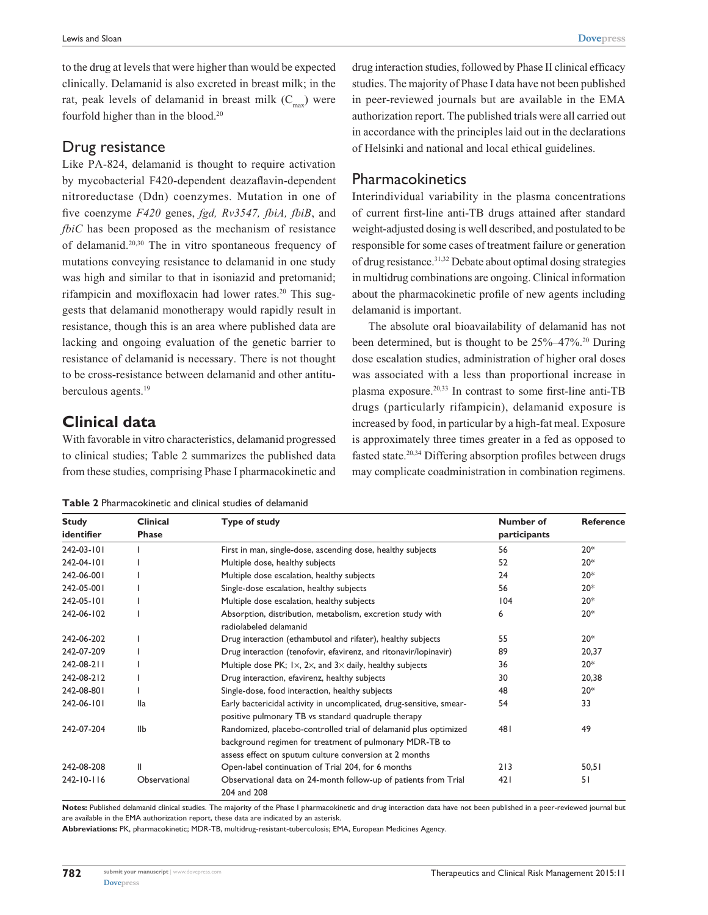to the drug at levels that were higher than would be expected clinically. Delamanid is also excreted in breast milk; in the rat, peak levels of delamanid in breast milk  $(C<sub>max</sub>)$  were fourfold higher than in the blood.20

#### Drug resistance

Like PA-824, delamanid is thought to require activation by mycobacterial F420-dependent deazaflavin-dependent nitroreductase (Ddn) coenzymes. Mutation in one of five coenzyme *F420* genes, *fgd, Rv3547, fbiA, fbiB*, and *fbiC* has been proposed as the mechanism of resistance of delamanid.20,30 The in vitro spontaneous frequency of mutations conveying resistance to delamanid in one study was high and similar to that in isoniazid and pretomanid; rifampicin and moxifloxacin had lower rates.<sup>20</sup> This suggests that delamanid monotherapy would rapidly result in resistance, though this is an area where published data are lacking and ongoing evaluation of the genetic barrier to resistance of delamanid is necessary. There is not thought to be cross-resistance between delamanid and other antituberculous agents.<sup>19</sup>

## **Clinical data**

With favorable in vitro characteristics, delamanid progressed to clinical studies; Table 2 summarizes the published data from these studies, comprising Phase I pharmacokinetic and drug interaction studies, followed by Phase II clinical efficacy studies. The majority of Phase I data have not been published in peer-reviewed journals but are available in the EMA authorization report. The published trials were all carried out in accordance with the principles laid out in the declarations of Helsinki and national and local ethical guidelines.

### Pharmacokinetics

Interindividual variability in the plasma concentrations of current first-line anti-TB drugs attained after standard weight-adjusted dosing is well described, and postulated to be responsible for some cases of treatment failure or generation of drug resistance.31,32 Debate about optimal dosing strategies in multidrug combinations are ongoing. Clinical information about the pharmacokinetic profile of new agents including delamanid is important.

The absolute oral bioavailability of delamanid has not been determined, but is thought to be 25%–47%.<sup>20</sup> During dose escalation studies, administration of higher oral doses was associated with a less than proportional increase in plasma exposure.20,33 In contrast to some first-line anti-TB drugs (particularly rifampicin), delamanid exposure is increased by food, in particular by a high-fat meal. Exposure is approximately three times greater in a fed as opposed to fasted state.20,34 Differing absorption profiles between drugs may complicate coadministration in combination regimens.

**Table 2** Pharmacokinetic and clinical studies of delamanid

| <b>Study</b>     | <b>Clinical</b> | Type of study                                                                                                                                                                         | Number of    | <b>Reference</b> |
|------------------|-----------------|---------------------------------------------------------------------------------------------------------------------------------------------------------------------------------------|--------------|------------------|
| identifier       | <b>Phase</b>    |                                                                                                                                                                                       | participants |                  |
| 242-03-101       |                 | First in man, single-dose, ascending dose, healthy subjects                                                                                                                           | 56           | $20*$            |
| 242-04-101       |                 | Multiple dose, healthy subjects                                                                                                                                                       | 52           | $20*$            |
| 242-06-001       |                 | Multiple dose escalation, healthy subjects                                                                                                                                            | 24           | $20*$            |
| 242-05-001       |                 | Single-dose escalation, healthy subjects                                                                                                                                              | 56           | $20*$            |
| 242-05-101       |                 | Multiple dose escalation, healthy subjects                                                                                                                                            | 104          | $20*$            |
| 242-06-102       |                 | Absorption, distribution, metabolism, excretion study with<br>radiolabeled delamanid                                                                                                  | 6            | $20*$            |
| 242-06-202       |                 | Drug interaction (ethambutol and rifater), healthy subjects                                                                                                                           | 55           | $20*$            |
| 242-07-209       |                 | Drug interaction (tenofovir, efavirenz, and ritonavir/lopinavir)                                                                                                                      | 89           | 20,37            |
| 242-08-211       |                 | Multiple dose PK; $1\times$ , $2\times$ , and $3\times$ daily, healthy subjects                                                                                                       | 36           | $20*$            |
| 242-08-212       |                 | Drug interaction, efavirenz, healthy subjects                                                                                                                                         | 30           | 20,38            |
| 242-08-801       |                 | Single-dose, food interaction, healthy subjects                                                                                                                                       | 48           | $20*$            |
| 242-06-101       | <b>Ila</b>      | Early bactericidal activity in uncomplicated, drug-sensitive, smear-<br>positive pulmonary TB vs standard quadruple therapy                                                           | 54           | 33               |
| 242-07-204       | <b>IIb</b>      | Randomized, placebo-controlled trial of delamanid plus optimized<br>background regimen for treatment of pulmonary MDR-TB to<br>assess effect on sputum culture conversion at 2 months | 481          | 49               |
| 242-08-208       | Ш               | Open-label continuation of Trial 204, for 6 months                                                                                                                                    | 213          | 50,51            |
| $242 - 10 - 116$ | Observational   | Observational data on 24-month follow-up of patients from Trial<br>204 and 208                                                                                                        | 421          | 51               |

**Notes:** Published delamanid clinical studies. The majority of the Phase I pharmacokinetic and drug interaction data have not been published in a peer-reviewed journal but are available in the EMA authorization report, these data are indicated by an asterisk.

**Abbreviations:** PK, pharmacokinetic; MDR-TB, multidrug-resistant-tuberculosis; EMA, European Medicines Agency.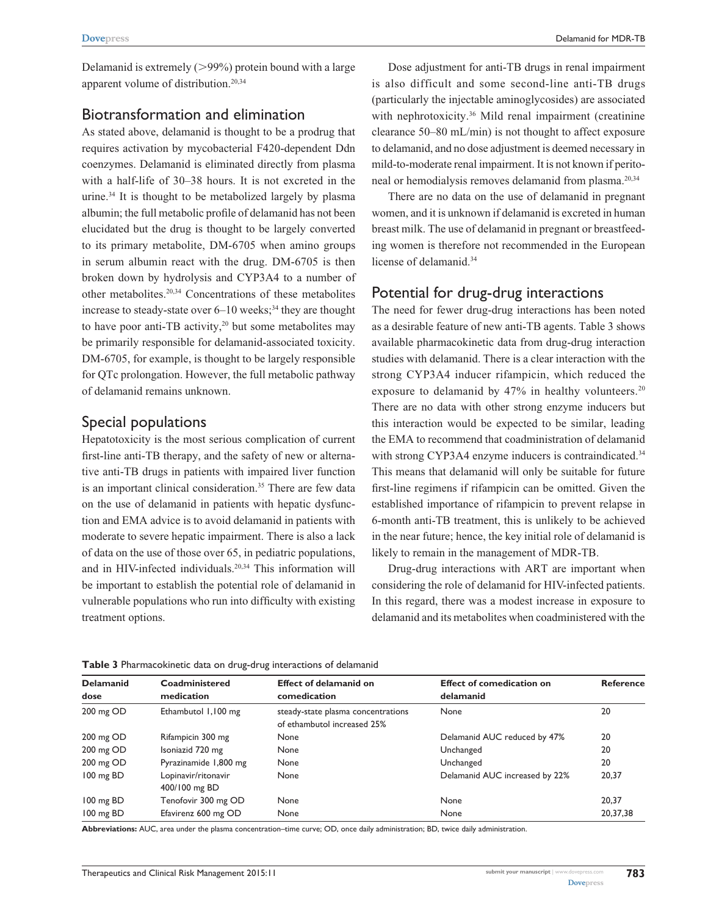Delamanid is extremely  $(>99\%)$  protein bound with a large apparent volume of distribution.20,34

#### Biotransformation and elimination

As stated above, delamanid is thought to be a prodrug that requires activation by mycobacterial F420-dependent Ddn coenzymes. Delamanid is eliminated directly from plasma with a half-life of 30–38 hours. It is not excreted in the urine.34 It is thought to be metabolized largely by plasma albumin; the full metabolic profile of delamanid has not been elucidated but the drug is thought to be largely converted to its primary metabolite, DM-6705 when amino groups in serum albumin react with the drug. DM-6705 is then broken down by hydrolysis and CYP3A4 to a number of other metabolites.20,34 Concentrations of these metabolites increase to steady-state over  $6-10$  weeks;<sup>34</sup> they are thought to have poor anti-TB activity, $20$  but some metabolites may be primarily responsible for delamanid-associated toxicity. DM-6705, for example, is thought to be largely responsible for QTc prolongation. However, the full metabolic pathway of delamanid remains unknown.

## Special populations

Hepatotoxicity is the most serious complication of current first-line anti-TB therapy, and the safety of new or alternative anti-TB drugs in patients with impaired liver function is an important clinical consideration.<sup>35</sup> There are few data on the use of delamanid in patients with hepatic dysfunction and EMA advice is to avoid delamanid in patients with moderate to severe hepatic impairment. There is also a lack of data on the use of those over 65, in pediatric populations, and in HIV-infected individuals.20,34 This information will be important to establish the potential role of delamanid in vulnerable populations who run into difficulty with existing treatment options.

Dose adjustment for anti-TB drugs in renal impairment is also difficult and some second-line anti-TB drugs (particularly the injectable aminoglycosides) are associated with nephrotoxicity.<sup>36</sup> Mild renal impairment (creatinine clearance 50–80 mL/min) is not thought to affect exposure to delamanid, and no dose adjustment is deemed necessary in mild-to-moderate renal impairment. It is not known if peritoneal or hemodialysis removes delamanid from plasma.20,34

There are no data on the use of delamanid in pregnant women, and it is unknown if delamanid is excreted in human breast milk. The use of delamanid in pregnant or breastfeeding women is therefore not recommended in the European license of delamanid.<sup>34</sup>

#### Potential for drug-drug interactions

The need for fewer drug-drug interactions has been noted as a desirable feature of new anti-TB agents. Table 3 shows available pharmacokinetic data from drug-drug interaction studies with delamanid. There is a clear interaction with the strong CYP3A4 inducer rifampicin, which reduced the exposure to delamanid by  $47\%$  in healthy volunteers.<sup>20</sup> There are no data with other strong enzyme inducers but this interaction would be expected to be similar, leading the EMA to recommend that coadministration of delamanid with strong CYP3A4 enzyme inducers is contraindicated.<sup>34</sup> This means that delamanid will only be suitable for future first-line regimens if rifampicin can be omitted. Given the established importance of rifampicin to prevent relapse in 6-month anti-TB treatment, this is unlikely to be achieved in the near future; hence, the key initial role of delamanid is likely to remain in the management of MDR-TB.

Drug-drug interactions with ART are important when considering the role of delamanid for HIV-infected patients. In this regard, there was a modest increase in exposure to delamanid and its metabolites when coadministered with the

| <b>Delamanid</b>    | Coadministered                       | <b>Effect of delamanid on</b>                                     | <b>Effect of comedication on</b> | <b>Reference</b> |
|---------------------|--------------------------------------|-------------------------------------------------------------------|----------------------------------|------------------|
| dose                | medication                           | comedication                                                      | delamanid                        |                  |
| 200 mg OD           | Ethambutol 1,100 mg                  | steady-state plasma concentrations<br>of ethambutol increased 25% | None                             | 20               |
| 200 mg OD           | Rifampicin 300 mg                    | None                                                              | Delamanid AUC reduced by 47%     | 20               |
| 200 mg OD           | Isoniazid 720 mg                     | None                                                              | Unchanged                        | 20               |
| 200 mg OD           | Pyrazinamide 1,800 mg                | None                                                              | Unchanged                        | 20               |
| 100 mg BD           | Lopinavir/ritonavir<br>400/100 mg BD | None                                                              | Delamanid AUC increased by 22%   | 20,37            |
| $100 \text{ mg BD}$ | Tenofovir 300 mg OD                  | None                                                              | None                             | 20.37            |
| 100 mg BD           | Efavirenz 600 mg OD                  | None                                                              | None                             | 20,37,38         |

**Table 3** Pharmacokinetic data on drug-drug interactions of delamanid

**Abbreviations:** AUC, area under the plasma concentration–time curve; OD, once daily administration; BD, twice daily administration.

**783**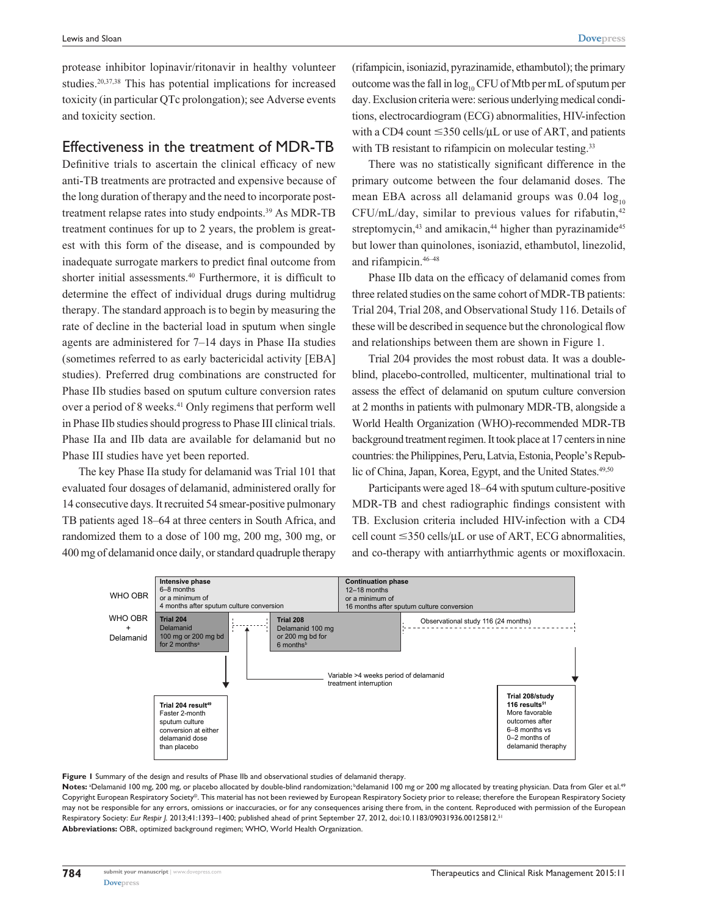protease inhibitor lopinavir/ritonavir in healthy volunteer studies.20,37,38 This has potential implications for increased toxicity (in particular QTc prolongation); see Adverse events and toxicity section.

#### Effectiveness in the treatment of MDR-TB

Definitive trials to ascertain the clinical efficacy of new anti-TB treatments are protracted and expensive because of the long duration of therapy and the need to incorporate posttreatment relapse rates into study endpoints.<sup>39</sup> As MDR-TB treatment continues for up to 2 years, the problem is greatest with this form of the disease, and is compounded by inadequate surrogate markers to predict final outcome from shorter initial assessments.<sup>40</sup> Furthermore, it is difficult to determine the effect of individual drugs during multidrug therapy. The standard approach is to begin by measuring the rate of decline in the bacterial load in sputum when single agents are administered for 7–14 days in Phase IIa studies (sometimes referred to as early bactericidal activity [EBA] studies). Preferred drug combinations are constructed for Phase IIb studies based on sputum culture conversion rates over a period of 8 weeks.<sup>41</sup> Only regimens that perform well in Phase IIb studies should progress to Phase III clinical trials. Phase IIa and IIb data are available for delamanid but no Phase III studies have yet been reported.

The key Phase IIa study for delamanid was Trial 101 that evaluated four dosages of delamanid, administered orally for 14 consecutive days. It recruited 54 smear-positive pulmonary TB patients aged 18–64 at three centers in South Africa, and randomized them to a dose of 100 mg, 200 mg, 300 mg, or 400mg of delamanid once daily, or standard quadruple therapy

(rifampicin, isoniazid, pyrazinamide, ethambutol); the primary outcome was the fall in  $log_{10}$  CFU of Mtb per mL of sputum per day. Exclusion criteria were: serious underlying medical conditions, electrocardiogram (ECG) abnormalities, HIV-infection with a CD4 count  $\leq$ 350 cells/ $\mu$ L or use of ART, and patients with TB resistant to rifampicin on molecular testing.<sup>33</sup>

There was no statistically significant difference in the primary outcome between the four delamanid doses. The mean EBA across all delamanid groups was  $0.04 \log_{10}$  $CFU/mL/day$ , similar to previous values for rifabutin, $42$ streptomycin,<sup>43</sup> and amikacin,<sup>44</sup> higher than pyrazinamide<sup>45</sup> but lower than quinolones, isoniazid, ethambutol, linezolid, and rifampicin.46–48

Phase IIb data on the efficacy of delamanid comes from three related studies on the same cohort of MDR-TB patients: Trial 204, Trial 208, and Observational Study 116. Details of these will be described in sequence but the chronological flow and relationships between them are shown in Figure 1.

Trial 204 provides the most robust data. It was a doubleblind, placebo-controlled, multicenter, multinational trial to assess the effect of delamanid on sputum culture conversion at 2 months in patients with pulmonary MDR-TB, alongside a World Health Organization (WHO)-recommended MDR-TB background treatment regimen. It took place at 17 centers in nine countries: the Philippines, Peru, Latvia, Estonia, People's Republic of China, Japan, Korea, Egypt, and the United States.<sup>49,50</sup>

Participants were aged 18–64 with sputum culture-positive MDR-TB and chest radiographic findings consistent with TB. Exclusion criteria included HIV-infection with a CD4 cell count  $\leq$ 350 cells/μL or use of ART, ECG abnormalities, and co-therapy with antiarrhythmic agents or moxifloxacin.



**Figure 1** Summary of the design and results of Phase IIb and observational studies of delamanid therapy.

Notes: <sup>a</sup>Delamanid 100 mg, 200 mg, or placebo allocated by double-blind randomization; <sup>b</sup>delamanid 100 mg or 200 mg allocated by treating physician. Data from Gler et al.<sup>49</sup> Copyright European Respiratory Society©. This material has not been reviewed by European Respiratory Society prior to release; therefore the European Respiratory Society may not be responsible for any errors, omissions or inaccuracies, or for any consequences arising there from, in the content. Reproduced with permission of the European Respiratory Society: *Eur Respir J.* 2013;41:1393–1400; published ahead of print September 27, 2012, doi:10.1183/09031936.00125812.51 **Abbreviations:** OBR, optimized background regimen; WHO, World Health Organization.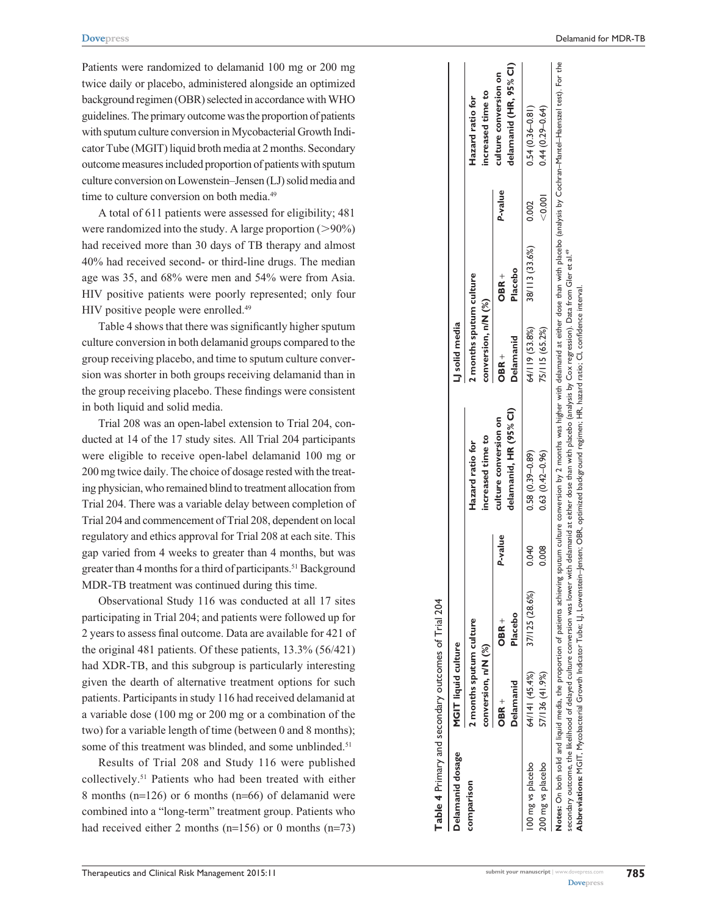Patients were randomized to delamanid 100 mg or 200 mg twice daily or placebo, administered alongside an optimized background regimen (OBR) selected in accordance with WHO guidelines. The primary outcome was the proportion of patients with sputum culture conversion in Mycobacterial Growth Indicator Tube (MGIT) liquid broth media at 2months. Secondary outcome measures included proportion of patients with sputum culture conversion on Lowenstein–Jensen (LJ) solid media and time to culture conversion on both media.<sup>49</sup>

A total of 611 patients were assessed for eligibility; 481 were randomized into the study. A large proportion  $(>90\%)$ had received more than 30 days of TB therapy and almost 40% had received second- or third-line drugs. The median age was 35, and 68% were men and 54% were from Asia. HIV positive patients were poorly represented; only four HIV positive people were enrolled.49

Table 4 shows that there was significantly higher sputum culture conversion in both delamanid groups compared to the group receiving placebo, and time to sputum culture conversion was shorter in both groups receiving delamanid than in the group receiving placebo. These findings were consistent in both liquid and solid media.

Trial 208 was an open-label extension to Trial 204, conducted at 14 of the 17 study sites. All Trial 204 participants were eligible to receive open-label delamanid 100 mg or 200 mg twice daily. The choice of dosage rested with the treating physician, who remained blind to treatment allocation from Trial 204. There was a variable delay between completion of Trial 204 and commencement of Trial 208, dependent on local regulatory and ethics approval for Trial 208 at each site. This gap varied from 4 weeks to greater than 4 months, but was greater than 4 months for a third of participants.<sup>51</sup> Background MDR-TB treatment was continued during this time.

Observational Study 116 was conducted at all 17 sites participating in Trial 204; and patients were followed up for 2 years to assess final outcome. Data are available for 421 of the original 481 patients. Of these patients, 13.3% (56/421) had XDR-TB, and this subgroup is particularly interesting given the dearth of alternative treatment options for such patients. Participants in study 116 had received delamanid at a variable dose (100 mg or 200 mg or a combination of the two) for a variable length of time (between 0 and 8 months); some of this treatment was blinded, and some unblinded.<sup>51</sup>

Results of Trial 208 and Study 116 were published collectively.51 Patients who had been treated with either 8 months (n=126) or 6 months (n=66) of delamanid were combined into a "long-term" treatment group. Patients who had received either 2 months (n=156) or 0 months (n=73)

| Table 4 Primary and secondary outcomes of Trial 204 |                            |                |         |                                                                                                                                                                      |                         |                |         |                        |
|-----------------------------------------------------|----------------------------|----------------|---------|----------------------------------------------------------------------------------------------------------------------------------------------------------------------|-------------------------|----------------|---------|------------------------|
| Delamanid dosage                                    | <b>MGIT liquid culture</b> |                |         |                                                                                                                                                                      | LI solid media          |                |         |                        |
| comparison                                          | 2 months sputum culture    |                |         | Hazard ratio for                                                                                                                                                     | 2 months sputum culture |                |         | Hazard ratio for       |
|                                                     | conversion, n/N (%)        |                |         | increased time to                                                                                                                                                    | conversion, n/N (%)     |                |         | increased time to      |
|                                                     | OBR +                      | OBR +          | P-value | culture conversion on                                                                                                                                                | OBR +                   | <b>OBR +</b>   | P-value | culture conversion on  |
|                                                     | Delamanid                  | Placebo        |         | delamanid, HR (95% CI)                                                                                                                                               | Delamanid               | Placebo        |         | delamanid (HR, 95% CI) |
| 00 mg vs placebo                                    | 64/141 (45.4%)             | 37/125 (28.6%) | 0.040   | $0.58(0.39 - 0.89)$                                                                                                                                                  | 64/119 (53.8%)          | 38/113 (33.6%) | 0.002   | $0.54(0.36 - 0.81)$    |
| 200 mg vs placebo                                   | 57/136 (41.9%)             |                | 0.008   | $0.63(0.42 - 0.96)$                                                                                                                                                  | 75/115 (65.2%)          |                | < 0.001 | $0.44(0.29 - 0.64)$    |
|                                                     |                            |                |         | Notes: On both solid and in anonomica of patients chining culture conversion by 2 receives with delayers date than with place the place of conversal fast a Fost the |                         |                |         |                        |

Notes: On both solid and liquid media, the proportion of patients achieving sputum culture conversion by 2 months was higher with delamanid at either dose than with placebo (analysis by Coch-Mantel–Haenszel test). For the secondary outcome, the likelihood of delayed culture conversion was lower with delamanid at either dose than with placebo (analysis by Cox regression). Data from Gler et al.<sup>49</sup> secondary outcome, the likelihood of delayed culture conversion was lower with delamanid at either dose than with placebo (analysis by Cox regression). Data from Gler et al.<sup>49</sup> **Abbreviations:** MGIT, Mycobacterial Growth Indicator Tube; LJ, Lowenstein–Jensen; OBR, optimized background regimen; HR, hazard ratio; CI, confidence interval.regimen; HR, hazard ratio; CI, confidence interval Abbreviations: MGIT, Mycobacterial Growth Indicator Tube; LJ, Lowenstein–Jensen; OBR, optimized background  $\tilde{\mathbf{z}}$ 

**[Dovepress](www.dovepress.com)**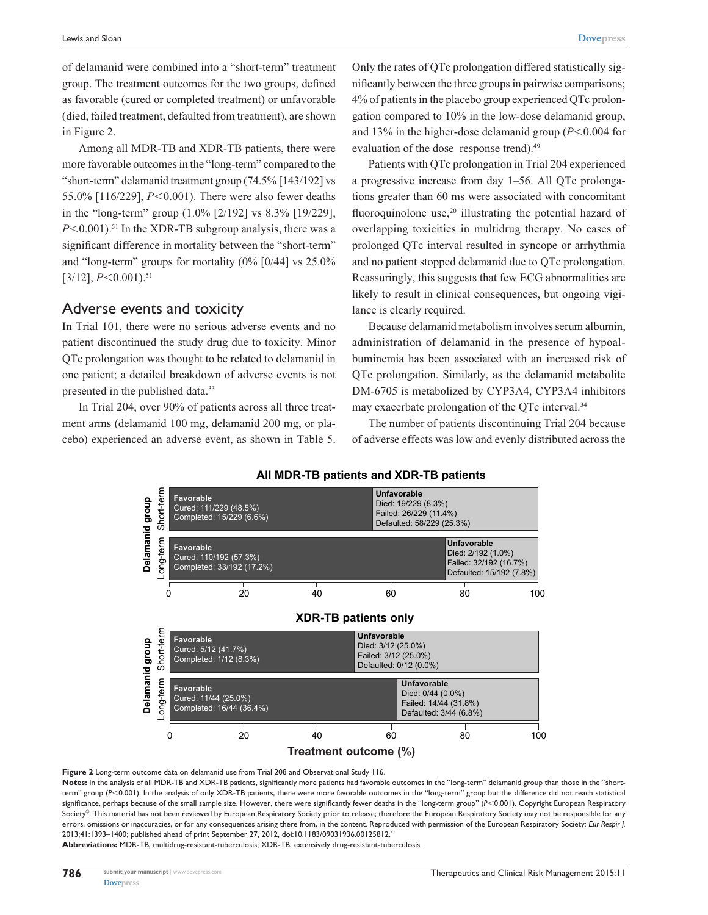of delamanid were combined into a "short-term" treatment group. The treatment outcomes for the two groups, defined as favorable (cured or completed treatment) or unfavorable (died, failed treatment, defaulted from treatment), are shown in Figure 2.

Among all MDR-TB and XDR-TB patients, there were more favorable outcomes in the "long-term" compared to the "short-term" delamanid treatment group (74.5% [143/192] vs 55.0% [116/229],  $P<0.001$ ). There were also fewer deaths in the "long-term" group (1.0% [2/192] vs 8.3% [19/229],  $P \le 0.001$ .<sup>51</sup> In the XDR-TB subgroup analysis, there was a significant difference in mortality between the "short-term" and "long-term" groups for mortality (0% [0/44] vs 25.0%  $[3/12]$ ,  $P<0.001$ ).<sup>51</sup>

#### Adverse events and toxicity

In Trial 101, there were no serious adverse events and no patient discontinued the study drug due to toxicity. Minor QTc prolongation was thought to be related to delamanid in one patient; a detailed breakdown of adverse events is not presented in the published data.<sup>33</sup>

In Trial 204, over 90% of patients across all three treatment arms (delamanid 100 mg, delamanid 200 mg, or placebo) experienced an adverse event, as shown in Table 5. Only the rates of QTc prolongation differed statistically significantly between the three groups in pairwise comparisons; 4% of patients in the placebo group experienced QTc prolongation compared to 10% in the low-dose delamanid group, and 13% in the higher-dose delamanid group  $(P<0.004$  for evaluation of the dose–response trend).<sup>49</sup>

Patients with QTc prolongation in Trial 204 experienced a progressive increase from day 1–56. All QTc prolongations greater than 60 ms were associated with concomitant fluoroquinolone use, $20$  illustrating the potential hazard of overlapping toxicities in multidrug therapy. No cases of prolonged QTc interval resulted in syncope or arrhythmia and no patient stopped delamanid due to QTc prolongation. Reassuringly, this suggests that few ECG abnormalities are likely to result in clinical consequences, but ongoing vigilance is clearly required.

Because delamanid metabolism involves serum albumin, administration of delamanid in the presence of hypoalbuminemia has been associated with an increased risk of QTc prolongation. Similarly, as the delamanid metabolite DM-6705 is metabolized by CYP3A4, CYP3A4 inhibitors may exacerbate prolongation of the QTc interval.34

The number of patients discontinuing Trial 204 because of adverse effects was low and evenly distributed across the



**AII MDR-TB patients and XDR-TB patients** 

**Figure 2** Long-term outcome data on delamanid use from Trial 208 and Observational Study 116.

Notes: In the analysis of all MDR-TB and XDR-TB patients, significantly more patients had favorable outcomes in the "long-term" delamanid group than those in the "shortterm" group (P<0.001). In the analysis of only XDR-TB patients, there were more favorable outcomes in the "long-term" group but the difference did not reach statistical significance, perhaps because of the small sample size. However, there were significantly fewer deaths in the "long-term group" (*P*<0.001). Copyright European Respiratory Society©. This material has not been reviewed by European Respiratory Society prior to release; therefore the European Respiratory Society may not be responsible for any errors, omissions or inaccuracies, or for any consequences arising there from, in the content. Reproduced with permission of the European Respiratory Society: *Eur Respir J.*  2013;41:1393–1400; published ahead of print September 27, 2012, doi:10.1183/09031936.00125812.51

**Abbreviations:** MDR-TB, multidrug-resistant-tuberculosis; XDR-TB, extensively drug-resistant-tuberculosis.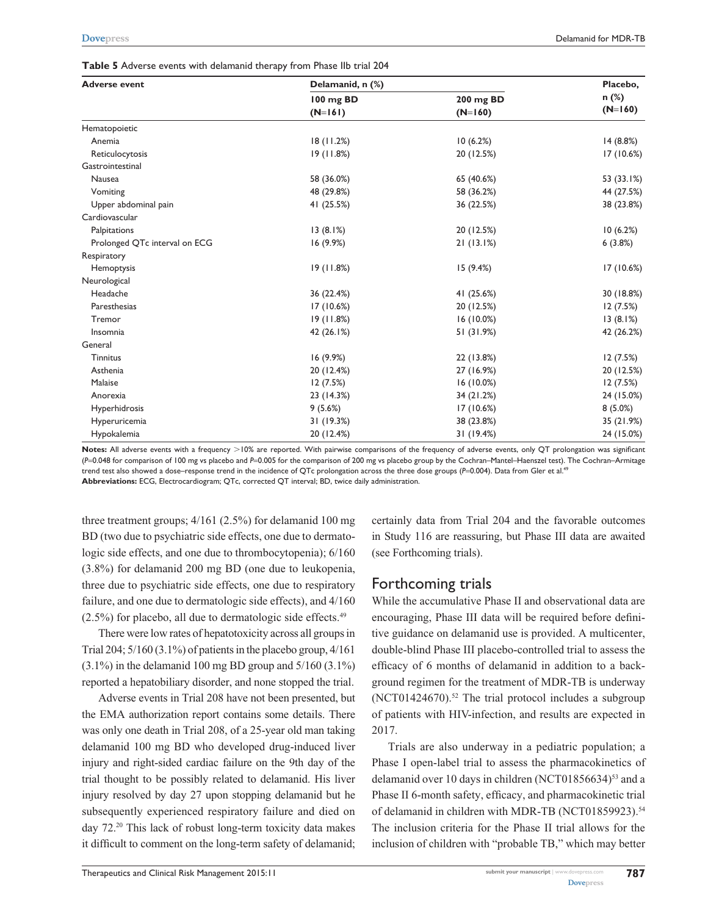| Table 5 Adverse events with delamanid therapy from Phase IIb trial 204 |  |  |  |  |  |  |  |  |  |  |  |  |
|------------------------------------------------------------------------|--|--|--|--|--|--|--|--|--|--|--|--|
|------------------------------------------------------------------------|--|--|--|--|--|--|--|--|--|--|--|--|

| <b>Adverse event</b>          | Delamanid, n (%) |              | Placebo,<br>$n$ (%)<br>$(N=160)$ |  |
|-------------------------------|------------------|--------------|----------------------------------|--|
|                               | 100 mg BD        | 200 mg BD    |                                  |  |
|                               | $(N=161)$        | $(N=160)$    |                                  |  |
| Hematopoietic                 |                  |              |                                  |  |
| Anemia                        | 18(11.2%)        | 10(6.2%)     | 14 (8.8%)                        |  |
| Reticulocytosis               | 19(11.8%)        | 20 (12.5%)   | 17(10.6%)                        |  |
| Gastrointestinal              |                  |              |                                  |  |
| <b>Nausea</b>                 | 58 (36.0%)       | 65 (40.6%)   | 53 (33.1%)                       |  |
| Vomiting                      | 48 (29.8%)       | 58 (36.2%)   | 44 (27.5%)                       |  |
| Upper abdominal pain          | 41 (25.5%)       | 36 (22.5%)   | 38 (23.8%)                       |  |
| Cardiovascular                |                  |              |                                  |  |
| Palpitations                  | 13(8.1%)         | 20 (12.5%)   | 10(6.2%)                         |  |
| Prolonged QTc interval on ECG | 16 (9.9%)        | 21(13.1%)    | 6(3.8%)                          |  |
| Respiratory                   |                  |              |                                  |  |
| Hemoptysis                    | 19(11.8%)        | 15(9.4%)     | 17 (10.6%)                       |  |
| Neurological                  |                  |              |                                  |  |
| Headache                      | 36 (22.4%)       | 41 (25.6%)   | 30 (18.8%)                       |  |
| Paresthesias                  | 17 (10.6%)       | 20 (12.5%)   | 12(7.5%)                         |  |
| Tremor                        | 19(11.8%)        | $16(10.0\%)$ | 13(8.1%)                         |  |
| Insomnia                      | 42 (26.1%)       | 51 (31.9%)   | 42 (26.2%)                       |  |
| General                       |                  |              |                                  |  |
| <b>Tinnitus</b>               | 16 (9.9%)        | 22 (13.8%)   | 12(7.5%)                         |  |
| Asthenia                      | 20 (12.4%)       | 27 (16.9%)   | 20 (12.5%)                       |  |
| Malaise                       | 12(7.5%)         | 16 (10.0%)   | 12 (7.5%)                        |  |
| Anorexia                      | 23 (14.3%)       | 34 (21.2%)   | 24 (15.0%)                       |  |
| Hyperhidrosis                 | 9(5.6%)          | 17(10.6%)    | $8(5.0\%)$                       |  |
| Hyperuricemia                 | 31(19.3%)        | 38 (23.8%)   | 35 (21.9%)                       |  |
| Hypokalemia                   | 20 (12.4%)       | 31 (19.4%)   | 24 (15.0%)                       |  |

Notes: All adverse events with a frequency >10% are reported. With pairwise comparisons of the frequency of adverse events, only QT prolongation was significant (*P*=0.048 for comparison of 100 mg vs placebo and *P*=0.005 for the comparison of 200 mg vs placebo group by the Cochran–Mantel–Haenszel test). The Cochran–Armitage trend test also showed a dose–response trend in the incidence of QTc prolongation across the three dose groups (*P*=0.004). Data from Gler et al.49 **Abbreviations:** ECG, Electrocardiogram; QTc, corrected QT interval; BD, twice daily administration.

three treatment groups; 4/161 (2.5%) for delamanid 100 mg BD (two due to psychiatric side effects, one due to dermatologic side effects, and one due to thrombocytopenia); 6/160 (3.8%) for delamanid 200 mg BD (one due to leukopenia, three due to psychiatric side effects, one due to respiratory failure, and one due to dermatologic side effects), and 4/160  $(2.5\%)$  for placebo, all due to dermatologic side effects.<sup>49</sup>

There were low rates of hepatotoxicity across all groups in Trial 204;  $5/160$  (3.1%) of patients in the placebo group,  $4/161$  $(3.1\%)$  in the delamanid 100 mg BD group and  $5/160$   $(3.1\%)$ reported a hepatobiliary disorder, and none stopped the trial.

Adverse events in Trial 208 have not been presented, but the EMA authorization report contains some details. There was only one death in Trial 208, of a 25-year old man taking delamanid 100 mg BD who developed drug-induced liver injury and right-sided cardiac failure on the 9th day of the trial thought to be possibly related to delamanid. His liver injury resolved by day 27 upon stopping delamanid but he subsequently experienced respiratory failure and died on day 72.20 This lack of robust long-term toxicity data makes it difficult to comment on the long-term safety of delamanid; certainly data from Trial 204 and the favorable outcomes in Study 116 are reassuring, but Phase III data are awaited (see Forthcoming trials).

#### Forthcoming trials

While the accumulative Phase II and observational data are encouraging, Phase III data will be required before definitive guidance on delamanid use is provided. A multicenter, double-blind Phase III placebo-controlled trial to assess the efficacy of 6 months of delamanid in addition to a background regimen for the treatment of MDR-TB is underway (NCT01424670).<sup>52</sup> The trial protocol includes a subgroup of patients with HIV-infection, and results are expected in 2017.

Trials are also underway in a pediatric population; a Phase I open-label trial to assess the pharmacokinetics of delamanid over 10 days in children  $(NCT01856634)^{53}$  and a Phase II 6-month safety, efficacy, and pharmacokinetic trial of delamanid in children with MDR-TB (NCT01859923).<sup>54</sup> The inclusion criteria for the Phase II trial allows for the inclusion of children with "probable TB," which may better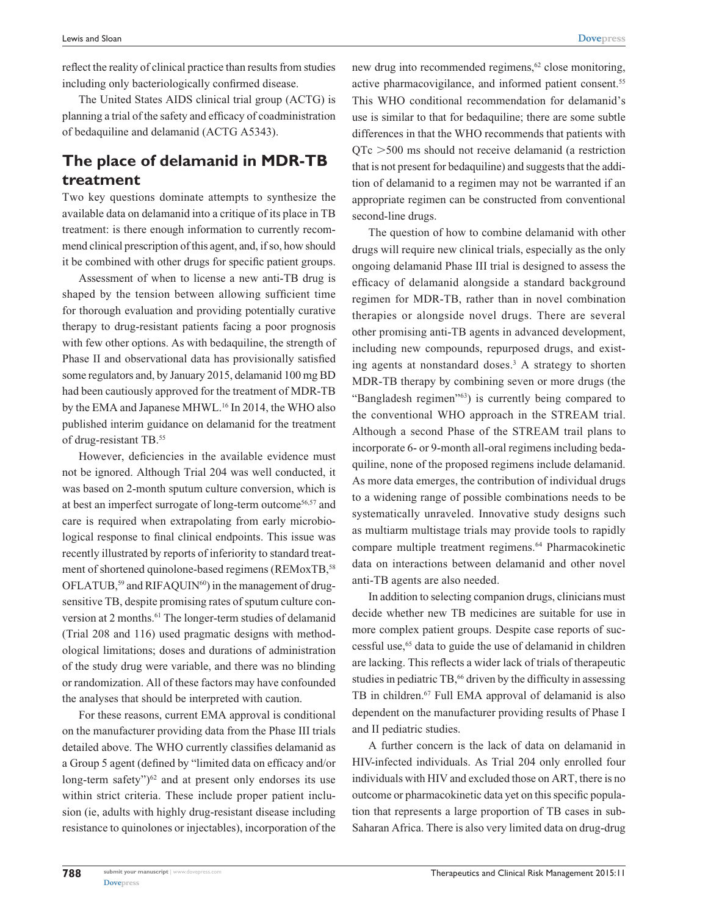reflect the reality of clinical practice than results from studies including only bacteriologically confirmed disease.

The United States AIDS clinical trial group (ACTG) is planning a trial of the safety and efficacy of coadministration of bedaquiline and delamanid (ACTG A5343).

## **The place of delamanid in MDR-TB treatment**

Two key questions dominate attempts to synthesize the available data on delamanid into a critique of its place in TB treatment: is there enough information to currently recommend clinical prescription of this agent, and, if so, how should it be combined with other drugs for specific patient groups.

Assessment of when to license a new anti-TB drug is shaped by the tension between allowing sufficient time for thorough evaluation and providing potentially curative therapy to drug-resistant patients facing a poor prognosis with few other options. As with bedaquiline, the strength of Phase II and observational data has provisionally satisfied some regulators and, by January 2015, delamanid 100 mg BD had been cautiously approved for the treatment of MDR-TB by the EMA and Japanese MHWL.16 In 2014, the WHO also published interim guidance on delamanid for the treatment of drug-resistant TB.55

However, deficiencies in the available evidence must not be ignored. Although Trial 204 was well conducted, it was based on 2-month sputum culture conversion, which is at best an imperfect surrogate of long-term outcome56,57 and care is required when extrapolating from early microbiological response to final clinical endpoints. This issue was recently illustrated by reports of inferiority to standard treatment of shortened quinolone-based regimens (REMoxTB,<sup>58</sup>) OFLATUB,<sup>59</sup> and RIFAQUIN<sup>60</sup>) in the management of drugsensitive TB, despite promising rates of sputum culture conversion at 2 months.<sup>61</sup> The longer-term studies of delamanid (Trial 208 and 116) used pragmatic designs with methodological limitations; doses and durations of administration of the study drug were variable, and there was no blinding or randomization. All of these factors may have confounded the analyses that should be interpreted with caution.

For these reasons, current EMA approval is conditional on the manufacturer providing data from the Phase III trials detailed above. The WHO currently classifies delamanid as a Group 5 agent (defined by "limited data on efficacy and/or long-term safety" $)^{62}$  and at present only endorses its use within strict criteria. These include proper patient inclusion (ie, adults with highly drug-resistant disease including resistance to quinolones or injectables), incorporation of the new drug into recommended regimens,<sup>62</sup> close monitoring, active pharmacovigilance, and informed patient consent.<sup>55</sup> This WHO conditional recommendation for delamanid's use is similar to that for bedaquiline; there are some subtle differences in that the WHO recommends that patients with  $QTc > 500$  ms should not receive delamanid (a restriction that is not present for bedaquiline) and suggests that the addition of delamanid to a regimen may not be warranted if an appropriate regimen can be constructed from conventional second-line drugs.

The question of how to combine delamanid with other drugs will require new clinical trials, especially as the only ongoing delamanid Phase III trial is designed to assess the efficacy of delamanid alongside a standard background regimen for MDR-TB, rather than in novel combination therapies or alongside novel drugs. There are several other promising anti-TB agents in advanced development, including new compounds, repurposed drugs, and existing agents at nonstandard doses.<sup>3</sup> A strategy to shorten MDR-TB therapy by combining seven or more drugs (the "Bangladesh regimen"63) is currently being compared to the conventional WHO approach in the STREAM trial. Although a second Phase of the STREAM trail plans to incorporate 6- or 9-month all-oral regimens including bedaquiline, none of the proposed regimens include delamanid. As more data emerges, the contribution of individual drugs to a widening range of possible combinations needs to be systematically unraveled. Innovative study designs such as multiarm multistage trials may provide tools to rapidly compare multiple treatment regimens.<sup>64</sup> Pharmacokinetic data on interactions between delamanid and other novel anti-TB agents are also needed.

In addition to selecting companion drugs, clinicians must decide whether new TB medicines are suitable for use in more complex patient groups. Despite case reports of successful use,65 data to guide the use of delamanid in children are lacking. This reflects a wider lack of trials of therapeutic studies in pediatric TB,<sup>66</sup> driven by the difficulty in assessing TB in children.<sup>67</sup> Full EMA approval of delamanid is also dependent on the manufacturer providing results of Phase I and II pediatric studies.

A further concern is the lack of data on delamanid in HIV-infected individuals. As Trial 204 only enrolled four individuals with HIV and excluded those on ART, there is no outcome or pharmacokinetic data yet on this specific population that represents a large proportion of TB cases in sub-Saharan Africa. There is also very limited data on drug-drug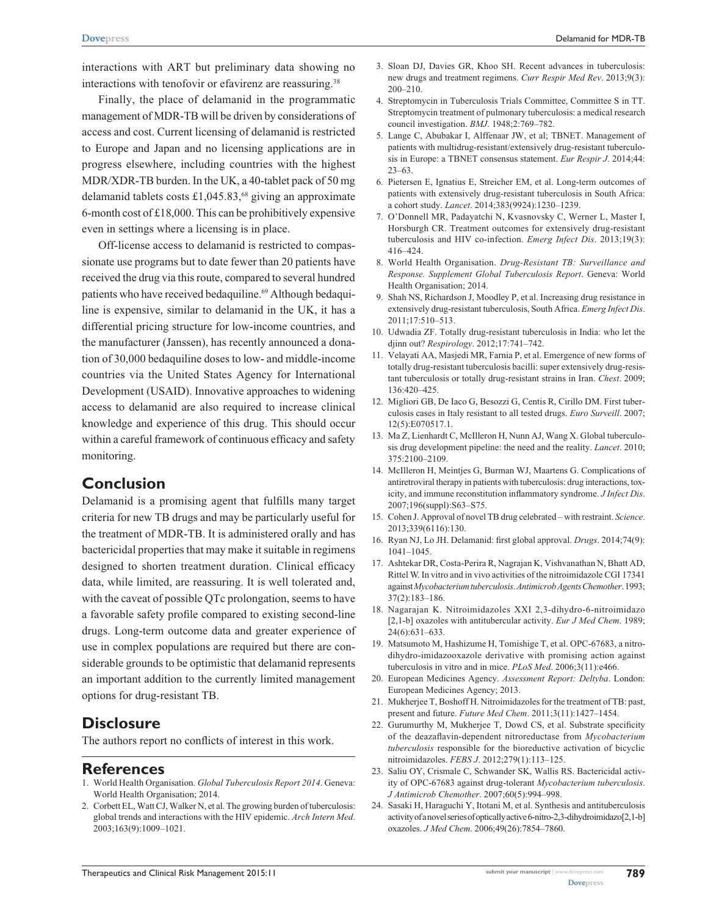interactions with ART but preliminary data showing no interactions with tenofovir or efavirenz are reassuring.<sup>38</sup>

Finally, the place of delamanid in the programmatic management of MDR-TB will be driven by considerations of access and cost. Current licensing of delamanid is restricted to Europe and Japan and no licensing applications are in progress elsewhere, including countries with the highest MDR/XDR-TB burden. In the UK, a 40-tablet pack of 50 mg delamanid tablets costs £1,045.83,<sup>68</sup> giving an approximate 6-month cost of £18,000. This can be prohibitively expensive even in settings where a licensing is in place.

Off-license access to delamanid is restricted to compassionate use programs but to date fewer than 20 patients have received the drug via this route, compared to several hundred patients who have received bedaquiline.<sup>69</sup> Although bedaquiline is expensive, similar to delamanid in the UK, it has a differential pricing structure for low-income countries, and the manufacturer (Janssen), has recently announced a donation of 30,000 bedaquiline doses to low- and middle-income countries via the United States Agency for International Development (USAID). Innovative approaches to widening access to delamanid are also required to increase clinical knowledge and experience of this drug. This should occur within a careful framework of continuous efficacy and safety monitoring.

#### **Conclusion**

Delamanid is a promising agent that fulfills many target criteria for new TB drugs and may be particularly useful for the treatment of MDR-TB. It is administered orally and has bactericidal properties that may make it suitable in regimens designed to shorten treatment duration. Clinical efficacy data, while limited, are reassuring. It is well tolerated and, with the caveat of possible QTc prolongation, seems to have a favorable safety profile compared to existing second-line drugs. Long-term outcome data and greater experience of use in complex populations are required but there are considerable grounds to be optimistic that delamanid represents an important addition to the currently limited management options for drug-resistant TB.

## **Disclosure**

The authors report no conflicts of interest in this work.

#### **References**

- 1. World Health Organisation. *Global Tuberculosis Report 2014*. Geneva: World Health Organisation; 2014.
- 2. Corbett EL, Watt CJ, Walker N, et al. The growing burden of tuberculosis: global trends and interactions with the HIV epidemic. *Arch Intern Med*. 2003;163(9):1009–1021.
- 3. Sloan DJ, Davies GR, Khoo SH. Recent advances in tuberculosis: new drugs and treatment regimens. *Curr Respir Med Rev*. 2013;9(3): 200–210.
- 4. Streptomycin in Tuberculosis Trials Committee, Committee S in TT. Streptomycin treatment of pulmonary tuberculosis: a medical research council investigation. *BMJ*. 1948;2:769–782.
- 5. Lange C, Abubakar I, Alffenaar JW, et al; TBNET. Management of patients with multidrug-resistant/extensively drug-resistant tuberculosis in Europe: a TBNET consensus statement. *Eur Respir J*. 2014;44: 23–63.
- 6. Pietersen E, Ignatius E, Streicher EM, et al. Long-term outcomes of patients with extensively drug-resistant tuberculosis in South Africa: a cohort study. *Lancet*. 2014;383(9924):1230–1239.
- 7. O'Donnell MR, Padayatchi N, Kvasnovsky C, Werner L, Master I, Horsburgh CR. Treatment outcomes for extensively drug-resistant tuberculosis and HIV co-infection. *Emerg Infect Dis*. 2013;19(3): 416–424.
- 8. World Health Organisation. *Drug-Resistant TB: Surveillance and Response. Supplement Global Tuberculosis Report*. Geneva: World Health Organisation; 2014.
- 9. Shah NS, Richardson J, Moodley P, et al. Increasing drug resistance in extensively drug-resistant tuberculosis, South Africa. *Emerg Infect Dis*. 2011;17:510–513.
- 10. Udwadia ZF. Totally drug-resistant tuberculosis in India: who let the djinn out? *Respirology*. 2012;17:741–742.
- 11. Velayati AA, Masjedi MR, Farnia P, et al. Emergence of new forms of totally drug-resistant tuberculosis bacilli: super extensively drug-resistant tuberculosis or totally drug-resistant strains in Iran. *Chest*. 2009; 136:420–425.
- 12. Migliori GB, De Iaco G, Besozzi G, Centis R, Cirillo DM. First tuberculosis cases in Italy resistant to all tested drugs. *Euro Surveill*. 2007; 12(5):E070517.1.
- 13. Ma Z, Lienhardt C, McIlleron H, Nunn AJ, Wang X. Global tuberculosis drug development pipeline: the need and the reality. *Lancet*. 2010; 375:2100–2109.
- 14. McIlleron H, Meintjes G, Burman WJ, Maartens G. Complications of antiretroviral therapy in patients with tuberculosis: drug interactions, toxicity, and immune reconstitution inflammatory syndrome. *J Infect Dis*. 2007;196(suppl):S63–S75.
- 15. Cohen J. Approval of novel TB drug celebrated with restraint. *Science*. 2013;339(6116):130.
- 16. Ryan NJ, Lo JH. Delamanid: first global approval. *Drugs*. 2014;74(9): 1041–1045.
- 17. Ashtekar DR, Costa-Perira R, Nagrajan K, Vishvanathan N, Bhatt AD, Rittel W. In vitro and in vivo activities of the nitroimidazole CGI 17341 against *Mycobacterium tuberculosis*. *Antimicrob Agents Chemother*. 1993; 37(2):183–186.
- 18. Nagarajan K. Nitroimidazoles XXI 2,3-dihydro-6-nitroimidazo [2,1-b] oxazoles with antitubercular activity. *Eur J Med Chem*. 1989; 24(6):631–633.
- 19. Matsumoto M, Hashizume H, Tomishige T, et al. OPC-67683, a nitrodihydro-imidazooxazole derivative with promising action against tuberculosis in vitro and in mice. *PLoS Med*. 2006;3(11):e466.
- 20. European Medicines Agency. *Assessment Report: Deltyba*. London: European Medicines Agency; 2013.
- 21. Mukherjee T, Boshoff H. Nitroimidazoles for the treatment of TB: past, present and future. *Future Med Chem*. 2011;3(11):1427–1454.
- 22. Gurumurthy M, Mukherjee T, Dowd CS, et al. Substrate specificity of the deazaflavin-dependent nitroreductase from *Mycobacterium tuberculosis* responsible for the bioreductive activation of bicyclic nitroimidazoles. *FEBS J*. 2012;279(1):113–125.
- 23. Saliu OY, Crismale C, Schwander SK, Wallis RS. Bactericidal activity of OPC-67683 against drug-tolerant *Mycobacterium tuberculosis*. *J Antimicrob Chemother*. 2007;60(5):994–998.
- 24. Sasaki H, Haraguchi Y, Itotani M, et al. Synthesis and antituberculosis activity of a novel series of optically active 6-nitro-2,3-dihydroimidazo[2,1-b] oxazoles. *J Med Chem*. 2006;49(26):7854–7860.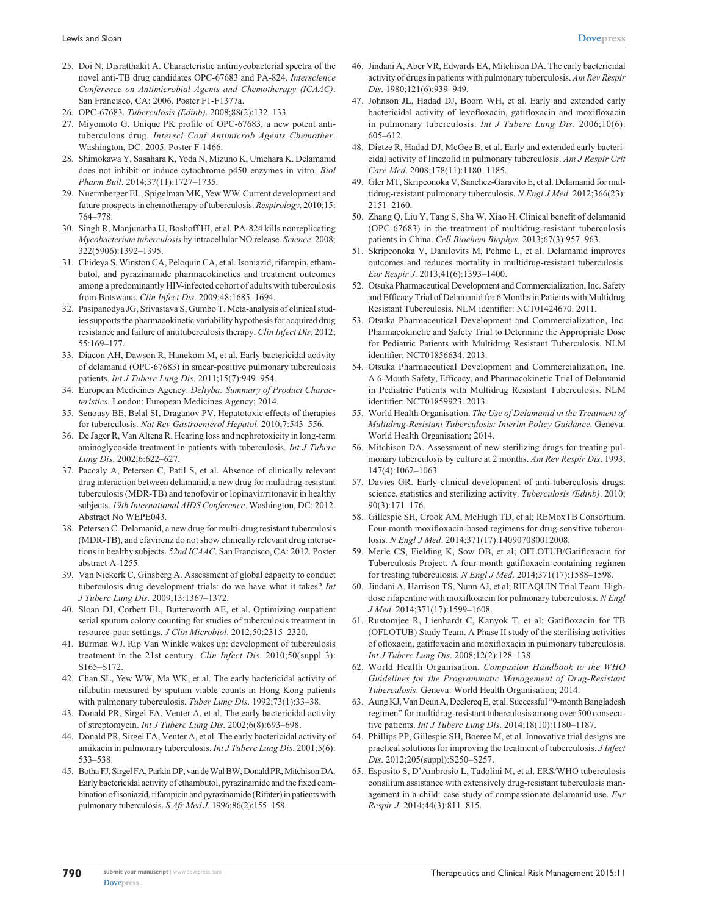- 25. Doi N, Disratthakit A. Characteristic antimycobacterial spectra of the novel anti-TB drug candidates OPC-67683 and PA-824. *Interscience Conference on Antimicrobial Agents and Chemotherapy (ICAAC)*. San Francisco, CA: 2006. Poster F1-F1377a.
- 26. OPC-67683. *Tuberculosis (Edinb)*. 2008;88(2):132–133.
- 27. Miyomoto G. Unique PK profile of OPC-67683, a new potent antituberculous drug. *Intersci Conf Antimicrob Agents Chemother*. Washington, DC: 2005. Poster F-1466.
- 28. Shimokawa Y, Sasahara K, Yoda N, Mizuno K, Umehara K. Delamanid does not inhibit or induce cytochrome p450 enzymes in vitro. *Biol Pharm Bull*. 2014;37(11):1727–1735.
- 29. Nuermberger EL, Spigelman MK, Yew WW. Current development and future prospects in chemotherapy of tuberculosis. *Respirology*. 2010;15: 764–778.
- 30. Singh R, Manjunatha U, Boshoff HI, et al. PA-824 kills nonreplicating *Mycobacterium tuberculosis* by intracellular NO release. *Science*. 2008; 322(5906):1392–1395.
- 31. Chideya S, Winston CA, Peloquin CA, et al. Isoniazid, rifampin, ethambutol, and pyrazinamide pharmacokinetics and treatment outcomes among a predominantly HIV-infected cohort of adults with tuberculosis from Botswana. *Clin Infect Dis*. 2009;48:1685–1694.
- 32. Pasipanodya JG, Srivastava S, Gumbo T. Meta-analysis of clinical studies supports the pharmacokinetic variability hypothesis for acquired drug resistance and failure of antituberculosis therapy. *Clin Infect Dis*. 2012; 55:169–177.
- 33. Diacon AH, Dawson R, Hanekom M, et al. Early bactericidal activity of delamanid (OPC-67683) in smear-positive pulmonary tuberculosis patients. *Int J Tuberc Lung Dis*. 2011;15(7):949–954.
- 34. European Medicines Agency. *Deltyba: Summary of Product Characteristics*. London: European Medicines Agency; 2014.
- 35. Senousy BE, Belal SI, Draganov PV. Hepatotoxic effects of therapies for tuberculosis. *Nat Rev Gastroenterol Hepatol*. 2010;7:543–556.
- 36. De Jager R, Van Altena R. Hearing loss and nephrotoxicity in long-term aminoglycoside treatment in patients with tuberculosis. *Int J Tuberc Lung Dis*. 2002;6:622–627.
- 37. Paccaly A, Petersen C, Patil S, et al. Absence of clinically relevant drug interaction between delamanid, a new drug for multidrug-resistant tuberculosis (MDR-TB) and tenofovir or lopinavir/ritonavir in healthy subjects. *19th International AIDS Conference*. Washington, DC: 2012. Abstract No WEPE043.
- 38. Petersen C. Delamanid, a new drug for multi-drug resistant tuberculosis (MDR-TB), and efavirenz do not show clinically relevant drug interactions in healthy subjects. *52nd ICAAC*. San Francisco, CA: 2012. Poster abstract A-1255.
- 39. Van Niekerk C, Ginsberg A. Assessment of global capacity to conduct tuberculosis drug development trials: do we have what it takes? *Int J Tuberc Lung Dis*. 2009;13:1367–1372.
- 40. Sloan DJ, Corbett EL, Butterworth AE, et al. Optimizing outpatient serial sputum colony counting for studies of tuberculosis treatment in resource-poor settings. *J Clin Microbiol*. 2012;50:2315–2320.
- 41. Burman WJ. Rip Van Winkle wakes up: development of tuberculosis treatment in the 21st century. *Clin Infect Dis*. 2010;50(suppl 3): S165–S172.
- 42. Chan SL, Yew WW, Ma WK, et al. The early bactericidal activity of rifabutin measured by sputum viable counts in Hong Kong patients with pulmonary tuberculosis. *Tuber Lung Dis*. 1992;73(1):33–38.
- 43. Donald PR, Sirgel FA, Venter A, et al. The early bactericidal activity of streptomycin. *Int J Tuberc Lung Dis*. 2002;6(8):693–698.
- 44. Donald PR, Sirgel FA, Venter A, et al. The early bactericidal activity of amikacin in pulmonary tuberculosis. *Int J Tuberc Lung Dis*. 2001;5(6): 533–538.
- 45. Botha FJ, Sirgel FA, Parkin DP, van de Wal BW, Donald PR, MitchisonDA. Early bactericidal activity of ethambutol, pyrazinamide and the fixed combination of isoniazid, rifampicin and pyrazinamide (Rifater) in patients with pulmonary tuberculosis. *S Afr Med J*. 1996;86(2):155–158.
- 46. Jindani A, Aber VR, Edwards EA, Mitchison DA. The early bactericidal activity of drugs in patients with pulmonary tuberculosis. *Am Rev Respir Dis*. 1980;121(6):939–949.
- 47. Johnson JL, Hadad DJ, Boom WH, et al. Early and extended early bactericidal activity of levofloxacin, gatifloxacin and moxifloxacin in pulmonary tuberculosis. *Int J Tuberc Lung Dis*. 2006;10(6): 605–612.
- 48. Dietze R, Hadad DJ, McGee B, et al. Early and extended early bactericidal activity of linezolid in pulmonary tuberculosis. *Am J Respir Crit Care Med*. 2008;178(11):1180–1185.
- 49. Gler MT, Skripconoka V, Sanchez-Garavito E, et al. Delamanid for multidrug-resistant pulmonary tuberculosis. *N Engl J Med*. 2012;366(23): 2151–2160.
- 50. Zhang Q, Liu Y, Tang S, Sha W, Xiao H. Clinical benefit of delamanid (OPC-67683) in the treatment of multidrug-resistant tuberculosis patients in China. *Cell Biochem Biophys*. 2013;67(3):957–963.
- 51. Skripconoka V, Danilovits M, Pehme L, et al. Delamanid improves outcomes and reduces mortality in multidrug-resistant tuberculosis. *Eur Respir J*. 2013;41(6):1393–1400.
- 52. Otsuka Pharmaceutical Development and Commercialization, Inc. Safety and Efficacy Trial of Delamanid for 6 Months in Patients with Multidrug Resistant Tuberculosis. NLM identifier: NCT01424670. 2011.
- 53. Otsuka Pharmaceutical Development and Commercialization, Inc. Pharmacokinetic and Safety Trial to Determine the Appropriate Dose for Pediatric Patients with Multidrug Resistant Tuberculosis. NLM identifier: NCT01856634. 2013.
- 54. Otsuka Pharmaceutical Development and Commercialization, Inc. A 6-Month Safety, Efficacy, and Pharmacokinetic Trial of Delamanid in Pediatric Patients with Multidrug Resistant Tuberculosis. NLM identifier: NCT01859923. 2013.
- 55. World Health Organisation. *The Use of Delamanid in the Treatment of Multidrug-Resistant Tuberculosis: Interim Policy Guidance*. Geneva: World Health Organisation; 2014.
- 56. Mitchison DA. Assessment of new sterilizing drugs for treating pulmonary tuberculosis by culture at 2 months. *Am Rev Respir Dis*. 1993; 147(4):1062–1063.
- 57. Davies GR. Early clinical development of anti-tuberculosis drugs: science, statistics and sterilizing activity. *Tuberculosis (Edinb)*. 2010; 90(3):171–176.
- 58. Gillespie SH, Crook AM, McHugh TD, et al; REMoxTB Consortium. Four-month moxifloxacin-based regimens for drug-sensitive tuberculosis. *N Engl J Med*. 2014;371(17):140907080012008.
- 59. Merle CS, Fielding K, Sow OB, et al; OFLOTUB/Gatifloxacin for Tuberculosis Project. A four-month gatifloxacin-containing regimen for treating tuberculosis. *N Engl J Med*. 2014;371(17):1588–1598.
- 60. Jindani A, Harrison TS, Nunn AJ, et al; RIFAQUIN Trial Team. Highdose rifapentine with moxifloxacin for pulmonary tuberculosis. *N Engl J Med*. 2014;371(17):1599–1608.
- 61. Rustomjee R, Lienhardt C, Kanyok T, et al; Gatifloxacin for TB (OFLOTUB) Study Team. A Phase II study of the sterilising activities of ofloxacin, gatifloxacin and moxifloxacin in pulmonary tuberculosis. *Int J Tuberc Lung Dis*. 2008;12(2):128–138.
- 62. World Health Organisation. *Companion Handbook to the WHO Guidelines for the Programmatic Management of Drug-Resistant Tuberculosis*. Geneva: World Health Organisation; 2014.
- 63. Aung KJ, Van Deun A, Declercq E, et al. Successful "9-month Bangladesh regimen" for multidrug-resistant tuberculosis among over 500 consecutive patients. *Int J Tuberc Lung Dis*. 2014;18(10):1180–1187.
- 64. Phillips PP, Gillespie SH, Boeree M, et al. Innovative trial designs are practical solutions for improving the treatment of tuberculosis. *J Infect Dis*. 2012;205(suppl):S250–S257.
- 65. Esposito S, D'Ambrosio L, Tadolini M, et al. ERS/WHO tuberculosis consilium assistance with extensively drug-resistant tuberculosis management in a child: case study of compassionate delamanid use. *Eur Respir J*. 2014;44(3):811–815.